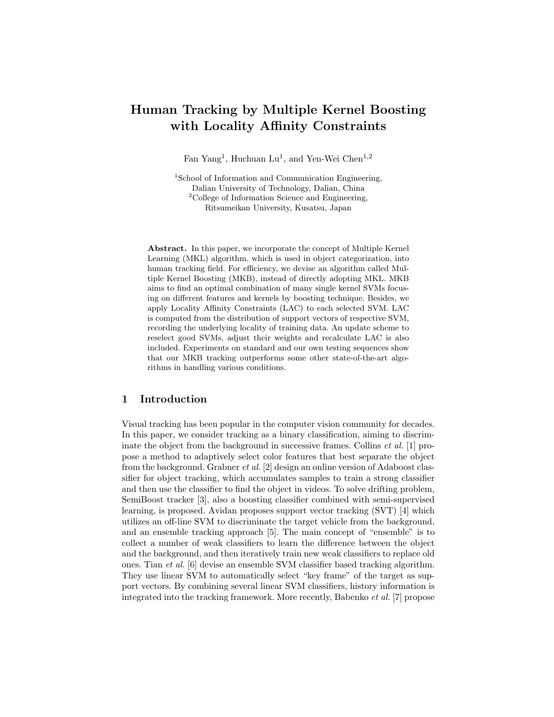# Human Tracking by Multiple Kernel Boosting with Locality Affinity Constraints

Fan Yang<sup>1</sup>, Huchuan Lu<sup>1</sup>, and Yen-Wei Chen<sup>1,2</sup>

<sup>1</sup>School of Information and Communication Engineering, Dalian University of Technology, Dalian, China <sup>2</sup>College of Information Science and Engineering, Ritsumeikan University, Kusatsu, Japan

Abstract. In this paper, we incorporate the concept of Multiple Kernel Learning (MKL) algorithm, which is used in object categorization, into human tracking field. For efficiency, we devise an algorithm called Multiple Kernel Boosting (MKB), instead of directly adopting MKL. MKB aims to find an optimal combination of many single kernel SVMs focusing on different features and kernels by boosting technique. Besides, we apply Locality Affinity Constraints (LAC) to each selected SVM. LAC is computed from the distribution of support vectors of respective SVM, recording the underlying locality of training data. An update scheme to reselect good SVMs, adjust their weights and recalculate LAC is also included. Experiments on standard and our own testing sequences show that our MKB tracking outperforms some other state-of-the-art algorithms in handling various conditions.

## 1 Introduction

Visual tracking has been popular in the computer vision community for decades. In this paper, we consider tracking as a binary classification, aiming to discriminate the object from the background in successive frames. Collins *et al.* [1] propose a method to adaptively select color features that best separate the object from the background. Grabner et al. [2] design an online version of Adaboost classifier for object tracking, which accumulates samples to train a strong classifier and then use the classifier to find the object in videos. To solve drifting problem, SemiBoost tracker [3], also a boosting classifier combined with semi-supervised learning, is proposed. Avidan proposes support vector tracking (SVT) [4] which utilizes an off-line SVM to discriminate the target vehicle from the background, and an ensemble tracking approach [5]. The main concept of "ensemble" is to collect a number of weak classifiers to learn the difference between the object and the background, and then iteratively train new weak classifiers to replace old ones. Tian et al. [6] devise an ensemble SVM classifier based tracking algorithm. They use linear SVM to automatically select "key frame" of the target as support vectors. By combining several linear SVM classifiers, history information is integrated into the tracking framework. More recently, Babenko et al. [7] propose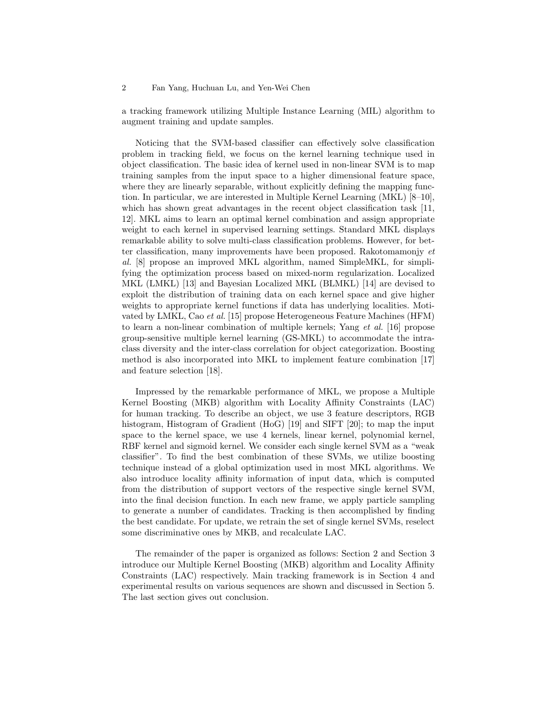a tracking framework utilizing Multiple Instance Learning (MIL) algorithm to augment training and update samples.

Noticing that the SVM-based classifier can effectively solve classification problem in tracking field, we focus on the kernel learning technique used in object classification. The basic idea of kernel used in non-linear SVM is to map training samples from the input space to a higher dimensional feature space, where they are linearly separable, without explicitly defining the mapping function. In particular, we are interested in Multiple Kernel Learning (MKL) [8–10], which has shown great advantages in the recent object classification task [11, 12]. MKL aims to learn an optimal kernel combination and assign appropriate weight to each kernel in supervised learning settings. Standard MKL displays remarkable ability to solve multi-class classification problems. However, for better classification, many improvements have been proposed. Rakotomamonjy et al. [8] propose an improved MKL algorithm, named SimpleMKL, for simplifying the optimization process based on mixed-norm regularization. Localized MKL (LMKL) [13] and Bayesian Localized MKL (BLMKL) [14] are devised to exploit the distribution of training data on each kernel space and give higher weights to appropriate kernel functions if data has underlying localities. Motivated by LMKL, Cao et al. [15] propose Heterogeneous Feature Machines (HFM) to learn a non-linear combination of multiple kernels; Yang et al. [16] propose group-sensitive multiple kernel learning (GS-MKL) to accommodate the intraclass diversity and the inter-class correlation for object categorization. Boosting method is also incorporated into MKL to implement feature combination [17] and feature selection [18].

Impressed by the remarkable performance of MKL, we propose a Multiple Kernel Boosting (MKB) algorithm with Locality Affinity Constraints (LAC) for human tracking. To describe an object, we use 3 feature descriptors, RGB histogram, Histogram of Gradient (HoG) [19] and SIFT [20]; to map the input space to the kernel space, we use 4 kernels, linear kernel, polynomial kernel, RBF kernel and sigmoid kernel. We consider each single kernel SVM as a "weak classifier". To find the best combination of these SVMs, we utilize boosting technique instead of a global optimization used in most MKL algorithms. We also introduce locality affinity information of input data, which is computed from the distribution of support vectors of the respective single kernel SVM, into the final decision function. In each new frame, we apply particle sampling to generate a number of candidates. Tracking is then accomplished by finding the best candidate. For update, we retrain the set of single kernel SVMs, reselect some discriminative ones by MKB, and recalculate LAC.

The remainder of the paper is organized as follows: Section 2 and Section 3 introduce our Multiple Kernel Boosting (MKB) algorithm and Locality Affinity Constraints (LAC) respectively. Main tracking framework is in Section 4 and experimental results on various sequences are shown and discussed in Section 5. The last section gives out conclusion.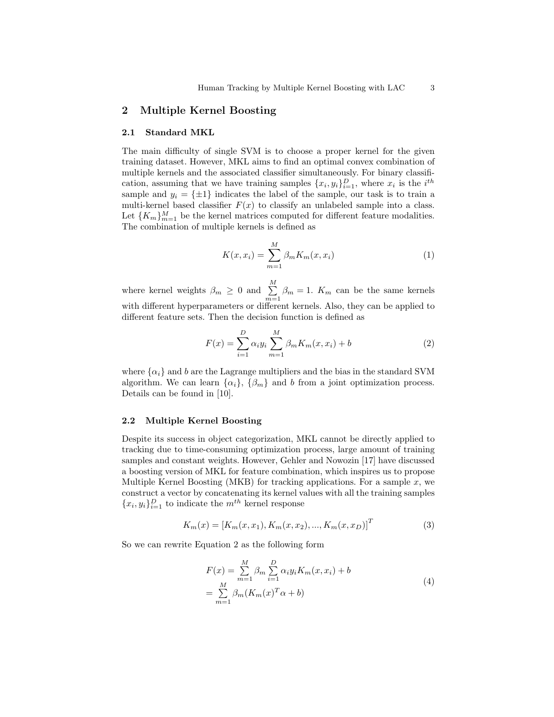# 2 Multiple Kernel Boosting

#### 2.1 Standard MKL

The main difficulty of single SVM is to choose a proper kernel for the given training dataset. However, MKL aims to find an optimal convex combination of multiple kernels and the associated classifier simultaneously. For binary classification, assuming that we have training samples  $\{x_i, y_i\}_{i=1}^D$ , where  $x_i$  is the  $i^{th}$ sample and  $y_i = {\pm 1}$  indicates the label of the sample, our task is to train a multi-kernel based classifier  $F(x)$  to classify an unlabeled sample into a class. Let  $\{K_m\}_{m=1}^M$  be the kernel matrices computed for different feature modalities. The combination of multiple kernels is defined as

$$
K(x, x_i) = \sum_{m=1}^{M} \beta_m K_m(x, x_i)
$$
 (1)

where kernel weights  $\beta_m \geq 0$  and  $\sum_{n=1}^{M}$  $\sum_{m=1} \beta_m = 1$ .  $K_m$  can be the same kernels with different hyperparameters or different kernels. Also, they can be applied to different feature sets. Then the decision function is defined as

$$
F(x) = \sum_{i=1}^{D} \alpha_i y_i \sum_{m=1}^{M} \beta_m K_m(x, x_i) + b
$$
 (2)

where  $\{\alpha_i\}$  and b are the Lagrange multipliers and the bias in the standard SVM algorithm. We can learn  $\{\alpha_i\}$ ,  $\{\beta_m\}$  and b from a joint optimization process. Details can be found in [10].

#### 2.2 Multiple Kernel Boosting

Despite its success in object categorization, MKL cannot be directly applied to tracking due to time-consuming optimization process, large amount of training samples and constant weights. However, Gehler and Nowozin [17] have discussed a boosting version of MKL for feature combination, which inspires us to propose Multiple Kernel Boosting (MKB) for tracking applications. For a sample  $x$ , we construct a vector by concatenating its kernel values with all the training samples  ${x_i, y_i}_{i=1}^D$  to indicate the  $m^{th}$  kernel response

$$
K_m(x) = [K_m(x, x_1), K_m(x, x_2), ..., K_m(x, x_D)]^T
$$
\n(3)

So we can rewrite Equation 2 as the following form

$$
F(x) = \sum_{m=1}^{M} \beta_m \sum_{i=1}^{D} \alpha_i y_i K_m(x, x_i) + b
$$
  
= 
$$
\sum_{m=1}^{M} \beta_m (K_m(x)^T \alpha + b)
$$
 (4)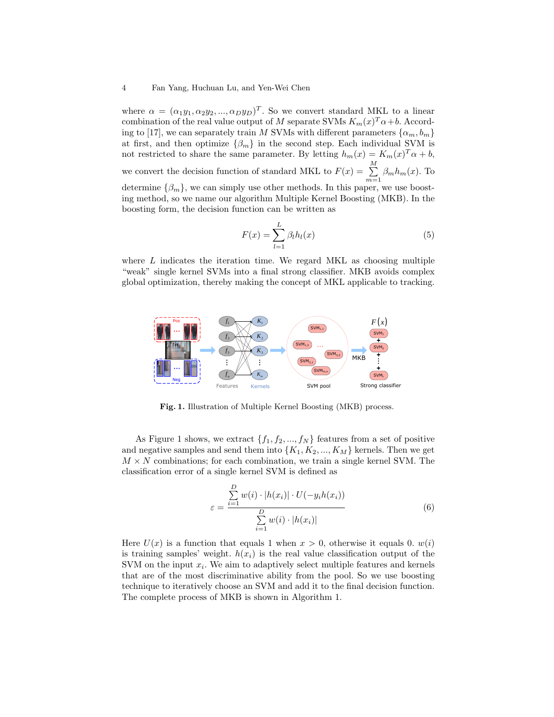where  $\alpha = (\alpha_1 y_1, \alpha_2 y_2, ..., \alpha_D y_D)^T$ . So we convert standard MKL to a linear combination of the real value output of M separate SVMs  $K_m(x)^T\alpha + b$ . According to [17], we can separately train M SVMs with different parameters  $\{\alpha_m, b_m\}$ at first, and then optimize  $\{\beta_m\}$  in the second step. Each individual SVM is not restricted to share the same parameter. By letting  $h_m(x) = K_m(x)^T \alpha + b$ , we convert the decision function of standard MKL to  $F(x) = \sum_{n=1}^{M}$  $\sum_{m=1} \beta_m h_m(x)$ . To determine  $\{\beta_m\}$ , we can simply use other methods. In this paper, we use boosting method, so we name our algorithm Multiple Kernel Boosting (MKB). In the boosting form, the decision function can be written as

$$
F(x) = \sum_{l=1}^{L} \beta_l h_l(x) \tag{5}
$$

where  $L$  indicates the iteration time. We regard MKL as choosing multiple "weak" single kernel SVMs into a final strong classifier. MKB avoids complex global optimization, thereby making the concept of MKL applicable to tracking.



Fig. 1. Illustration of Multiple Kernel Boosting (MKB) process.

As Figure 1 shows, we extract  $\{f_1, f_2, ..., f_N\}$  features from a set of positive and negative samples and send them into  $\{K_1, K_2, ..., K_M\}$  kernels. Then we get  $M \times N$  combinations; for each combination, we train a single kernel SVM. The classification error of a single kernel SVM is defined as

$$
\varepsilon = \frac{\sum\limits_{i=1}^{D} w(i) \cdot |h(x_i)| \cdot U(-y_i h(x_i))}{\sum\limits_{i=1}^{D} w(i) \cdot |h(x_i)|} \tag{6}
$$

Here  $U(x)$  is a function that equals 1 when  $x > 0$ , otherwise it equals 0.  $w(i)$ is training samples' weight.  $h(x_i)$  is the real value classification output of the SVM on the input  $x_i$ . We aim to adaptively select multiple features and kernels that are of the most discriminative ability from the pool. So we use boosting technique to iteratively choose an SVM and add it to the final decision function. The complete process of MKB is shown in Algorithm 1.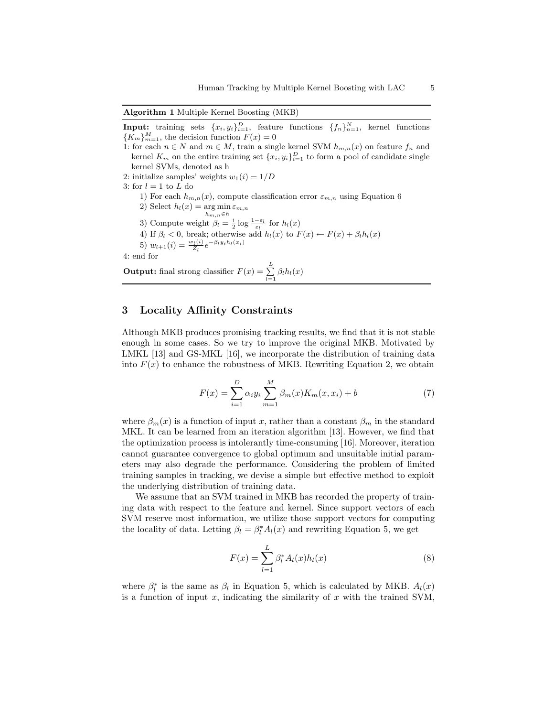Algorithm 1 Multiple Kernel Boosting (MKB)

Input: training sets  $\{x_i, y_i\}_{i=1}^D$ , feature functions  $\{f_n\}_{n=1}^N$ , kernel functions  ${K_m}_{m=1}^M$ , the decision function  $F(x) = 0$ 1: for each  $n \in N$  and  $m \in M$ , train a single kernel SVM  $h_{m,n}(x)$  on feature  $f_n$  and kernel  $K_m$  on the entire training set  $\{x_i, y_i\}_{i=1}^D$  to form a pool of candidate single kernel SVMs, denoted as h 2: initialize samples' weights  $w_1(i) = 1/D$ 3: for  $l = 1$  to L do 1) For each  $h_{m,n}(x)$ , compute classification error  $\varepsilon_{m,n}$  using Equation 6 2) Select  $h_l(x) = \arg \min \varepsilon_{m,n}$  $h_{m,n}$ ∈ $h$ 3) Compute weight  $\beta_l = \frac{1}{2} \log \frac{1-\varepsilon_l}{\varepsilon_l}$  for  $h_l(x)$ 4) If  $\beta_l < 0$ , break; otherwise add  $h_l(x)$  to  $F(x) \leftarrow F(x) + \beta_l h_l(x)$ 5)  $w_{l+1}(i) = \frac{w_l(i)}{Z_l} e^{-\beta_l y_i h_l(x_i)}$ 4: end for

**Output:** final strong classifier  $F(x) = \sum_{l=1}^{L} \beta_l h_l(x)$ 

## 3 Locality Affinity Constraints

Although MKB produces promising tracking results, we find that it is not stable enough in some cases. So we try to improve the original MKB. Motivated by LMKL [13] and GS-MKL [16], we incorporate the distribution of training data into  $F(x)$  to enhance the robustness of MKB. Rewriting Equation 2, we obtain

$$
F(x) = \sum_{i=1}^{D} \alpha_i y_i \sum_{m=1}^{M} \beta_m(x) K_m(x, x_i) + b \tag{7}
$$

where  $\beta_m(x)$  is a function of input x, rather than a constant  $\beta_m$  in the standard MKL. It can be learned from an iteration algorithm [13]. However, we find that the optimization process is intolerantly time-consuming [16]. Moreover, iteration cannot guarantee convergence to global optimum and unsuitable initial parameters may also degrade the performance. Considering the problem of limited training samples in tracking, we devise a simple but effective method to exploit the underlying distribution of training data.

We assume that an SVM trained in MKB has recorded the property of training data with respect to the feature and kernel. Since support vectors of each SVM reserve most information, we utilize those support vectors for computing the locality of data. Letting  $\beta_l = \beta_l^* A_l(x)$  and rewriting Equation 5, we get

$$
F(x) = \sum_{l=1}^{L} \beta_l^* A_l(x) h_l(x) \tag{8}
$$

where  $\beta_l^*$  is the same as  $\beta_l$  in Equation 5, which is calculated by MKB.  $A_l(x)$ is a function of input  $x$ , indicating the similarity of  $x$  with the trained SVM,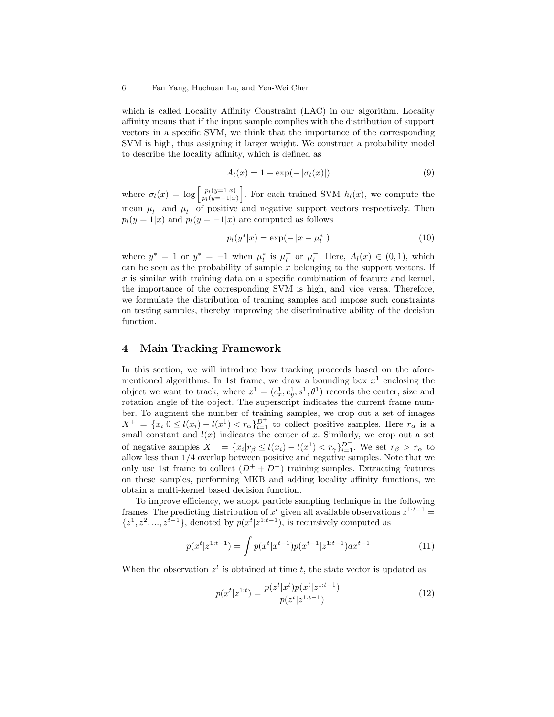which is called Locality Affinity Constraint (LAC) in our algorithm. Locality affinity means that if the input sample complies with the distribution of support vectors in a specific SVM, we think that the importance of the corresponding SVM is high, thus assigning it larger weight. We construct a probability model to describe the locality affinity, which is defined as

$$
A_l(x) = 1 - \exp(-|\sigma_l(x)|)
$$
\n(9)

where  $\sigma_l(x) = \log \left[ \frac{p_l(y=1|x)}{p_l(y=-1|x)} \right]$  $\frac{p_l(y=1|x)}{p_l(y=-1|x)}$ . For each trained SVM  $h_l(x)$ , we compute the mean  $\mu_l^+$  and  $\mu_l^-$  of positive and negative support vectors respectively. Then  $p_l(y = 1|x)$  and  $p_l(y = -1|x)$  are computed as follows

$$
p_l(y^*|x) = \exp(-|x - \mu_l^*|)
$$
\n(10)

where  $y^* = 1$  or  $y^* = -1$  when  $\mu_l^*$  is  $\mu_l^+$  or  $\mu_l^-$ . Here,  $A_l(x) \in (0,1)$ , which can be seen as the probability of sample  $x$  belonging to the support vectors. If  $x$  is similar with training data on a specific combination of feature and kernel, the importance of the corresponding SVM is high, and vice versa. Therefore, we formulate the distribution of training samples and impose such constraints on testing samples, thereby improving the discriminative ability of the decision function.

# 4 Main Tracking Framework

In this section, we will introduce how tracking proceeds based on the aforementioned algorithms. In 1st frame, we draw a bounding box  $x^1$  enclosing the object we want to track, where  $x^1 = (c_x^1, c_y^1, s^1, \theta^1)$  records the center, size and rotation angle of the object. The superscript indicates the current frame number. To augment the number of training samples, we crop out a set of images  $X^+ = \{x_i | 0 \le l(x_i) - l(x^1) < r_\alpha\}_{i=1}^{D^+}$  to collect positive samples. Here  $r_\alpha$  is a small constant and  $l(x)$  indicates the center of x. Similarly, we crop out a set of negative samples  $X^- = \{x_i | r_\beta \le l(x_i) - l(x^1) < r_\gamma\}_{i=1}^D$ . We set  $r_\beta > r_\alpha$  to allow less than 1/4 overlap between positive and negative samples. Note that we only use 1st frame to collect  $(D^+ + D^-)$  training samples. Extracting features on these samples, performing MKB and adding locality affinity functions, we obtain a multi-kernel based decision function.

To improve efficiency, we adopt particle sampling technique in the following frames. The predicting distribution of  $x^t$  given all available observations  $z^{1:t-1} =$  $\{z^1, z^2, ..., z^{t-1}\},$  denoted by  $p(x^t|z^{1:t-1})$ , is recursively computed as

$$
p(x^t | z^{1:t-1}) = \int p(x^t | x^{t-1}) p(x^{t-1} | z^{1:t-1}) dx^{t-1}
$$
\n(11)

When the observation  $z^t$  is obtained at time t, the state vector is updated as

$$
p(x^t|z^{1:t}) = \frac{p(z^t|x^t)p(x^t|z^{1:t-1})}{p(z^t|z^{1:t-1})}
$$
\n(12)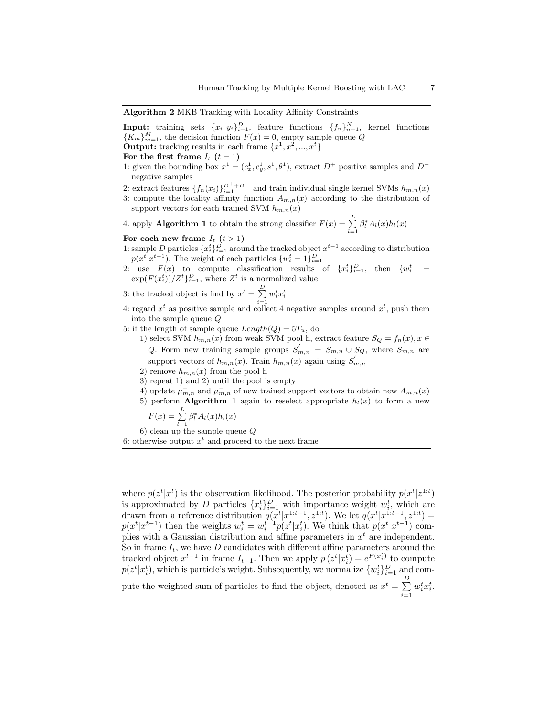Algorithm 2 MKB Tracking with Locality Affinity Constraints

**Input:** training sets  $\{x_i, y_i\}_{i=1}^D$ , feature functions  $\{f_n\}_{n=1}^N$ kernel functions  ${K_m}_{m=1}^M$ , the decision function  $F(x) = 0$ , empty sample queue Q **Output:** tracking results in each frame  $\{x^1, x^2, ..., x^t\}$ 

### For the first frame  $I_t$   $(t = 1)$

1: given the bounding box  $x^1 = (c_x^1, c_y^1, s^1, \theta^1)$ , extract  $D^+$  positive samples and  $D^$ negative samples

2: extract features  $\{f_n(x_i)\}_{i=1}^{D^+ + D^-}$  and train individual single kernel SVMs  $h_{m,n}(x)$ 

3: compute the locality affinity function  $A_{m,n}(x)$  according to the distribution of support vectors for each trained SVM  $h_{m,n}(x)$ 

4. apply **Algorithm 1** to obtain the strong classifier  $F(x) = \sum_{l=1}^{L} \beta_l^* A_l(x) h_l(x)$ 

For each new frame  $I_t$   $(t > 1)$ 

- 1: sample D particles  $\{x_i^t\}_{i=1}^D$  around the tracked object  $x^{t-1}$  according to distribution  $p(x^t|x^{t-1})$ . The weight of each particles  $\{w_i^t = 1\}_{i=1}^D$
- 2: use  $F(x)$  to compute classification results of  $\{x_i^t\}_{i=1}^D$ , then  $\{w_i^t\}$  =  $\exp(F(x_i^t))/Z^t\}_{i=1}^D$ , where  $Z^t$  is a normalized value

3: the tracked object is find by  $x^t = \sum_{i=1}^D w_i^t x_i^t$ 

4: regard  $x^t$  as positive sample and collect 4 negative samples around  $x^t$ , push them into the sample queue Q

5: if the length of sample queue  $Length(Q) = 5T_u$ , do

- 1) select SVM  $h_{m,n}(x)$  from weak SVM pool h, extract feature  $S_Q = f_n(x), x \in$ Q. Form new training sample groups  $S'_{m,n} = S_{m,n} \cup S_Q$ , where  $S_{m,n}$  are support vectors of  $h_{m,n}(x)$ . Train  $h_{m,n}(x)$  again using  $S'_{m,n}$
- 2) remove  $h_{m,n}(x)$  from the pool h
- 3) repeat 1) and 2) until the pool is empty
- 4) update  $\mu_{m,n}^+$  and  $\mu_{m,n}^-$  of new trained support vectors to obtain new  $A_{m,n}(x)$
- 5) perform **Algorithm 1** again to reselect appropriate  $h_l(x)$  to form a new

$$
F(x) = \sum_{l=1}^{L} \beta_l^* A_l(x) h_l(x)
$$

 $\stackrel{l=1}{\text{6}}$  clean up the sample queue  $Q$ 

6: otherwise output  $x<sup>t</sup>$  and proceed to the next frame

where  $p(z^t|x^t)$  is the observation likelihood. The posterior probability  $p(x^t|z^{1:t})$ is approximated by D particles  $\{x_i^t\}_{i=1}^D$  with importance weight  $w_i^t$ , which are drawn from a reference distribution  $q(x^t|x^{1:t-1}, z^{1:t})$ . We let  $q(x^t|x^{1:t-1}, z^{1:t})$  $p(x^t|x^{t-1})$  then the weights  $w_i^t = w_i^{t-1}p(z^t|x_i^t)$ . We think that  $p(x^t|x^{t-1})$  complies with a Gaussian distribution and affine parameters in  $x<sup>t</sup>$  are independent. So in frame  $I_t$ , we have D candidates with different affine parameters around the tracked object  $x^{t-1}$  in frame  $I_{t-1}$ . Then we apply  $p(z^t|x_i^{\tilde{t}}) = e^{F(x_i^t)}$  to compute  $p(z^t|x_i^t)$ , which is particle's weight. Subsequently, we normalize  $\{w_i^t\}_{i=1}^D$  and compute the weighted sum of particles to find the object, denoted as  $x^t = \sum_{i=1}^{D}$  $i=1$  $w_i^t x_i^t$ .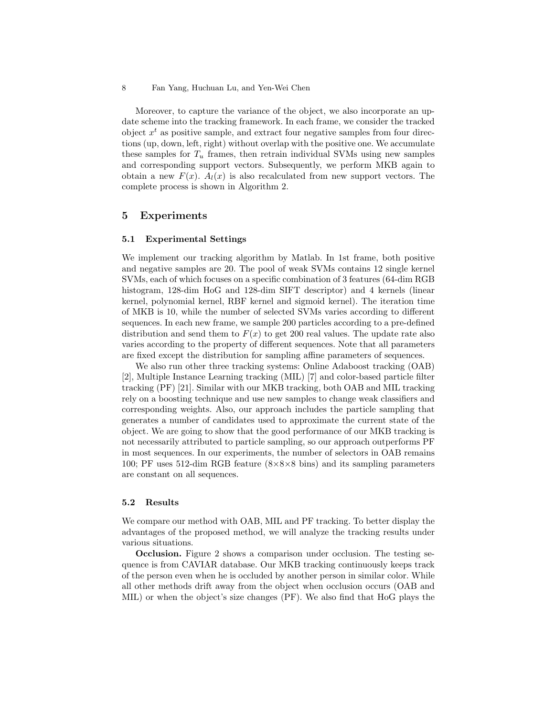Moreover, to capture the variance of the object, we also incorporate an update scheme into the tracking framework. In each frame, we consider the tracked object  $x<sup>t</sup>$  as positive sample, and extract four negative samples from four directions (up, down, left, right) without overlap with the positive one. We accumulate these samples for  $T_u$  frames, then retrain individual SVMs using new samples and corresponding support vectors. Subsequently, we perform MKB again to obtain a new  $F(x)$ .  $A<sub>l</sub>(x)$  is also recalculated from new support vectors. The complete process is shown in Algorithm 2.

### 5 Experiments

#### 5.1 Experimental Settings

We implement our tracking algorithm by Matlab. In 1st frame, both positive and negative samples are 20. The pool of weak SVMs contains 12 single kernel SVMs, each of which focuses on a specific combination of 3 features (64-dim RGB histogram, 128-dim HoG and 128-dim SIFT descriptor) and 4 kernels (linear kernel, polynomial kernel, RBF kernel and sigmoid kernel). The iteration time of MKB is 10, while the number of selected SVMs varies according to different sequences. In each new frame, we sample 200 particles according to a pre-defined distribution and send them to  $F(x)$  to get 200 real values. The update rate also varies according to the property of different sequences. Note that all parameters are fixed except the distribution for sampling affine parameters of sequences.

We also run other three tracking systems: Online Adaboost tracking (OAB) [2], Multiple Instance Learning tracking (MIL) [7] and color-based particle filter tracking (PF) [21]. Similar with our MKB tracking, both OAB and MIL tracking rely on a boosting technique and use new samples to change weak classifiers and corresponding weights. Also, our approach includes the particle sampling that generates a number of candidates used to approximate the current state of the object. We are going to show that the good performance of our MKB tracking is not necessarily attributed to particle sampling, so our approach outperforms PF in most sequences. In our experiments, the number of selectors in OAB remains 100; PF uses 512-dim RGB feature (8×8×8 bins) and its sampling parameters are constant on all sequences.

#### 5.2 Results

We compare our method with OAB, MIL and PF tracking. To better display the advantages of the proposed method, we will analyze the tracking results under various situations.

Occlusion. Figure 2 shows a comparison under occlusion. The testing sequence is from CAVIAR database. Our MKB tracking continuously keeps track of the person even when he is occluded by another person in similar color. While all other methods drift away from the object when occlusion occurs (OAB and MIL) or when the object's size changes (PF). We also find that HoG plays the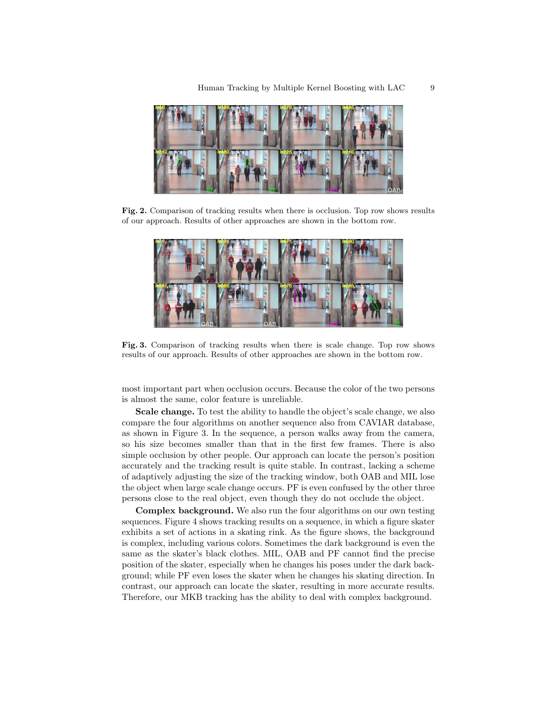

Fig. 2. Comparison of tracking results when there is occlusion. Top row shows results of our approach. Results of other approaches are shown in the bottom row.



Fig. 3. Comparison of tracking results when there is scale change. Top row shows results of our approach. Results of other approaches are shown in the bottom row.

most important part when occlusion occurs. Because the color of the two persons is almost the same, color feature is unreliable.

Scale change. To test the ability to handle the object's scale change, we also compare the four algorithms on another sequence also from CAVIAR database, as shown in Figure 3. In the sequence, a person walks away from the camera, so his size becomes smaller than that in the first few frames. There is also simple occlusion by other people. Our approach can locate the person's position accurately and the tracking result is quite stable. In contrast, lacking a scheme of adaptively adjusting the size of the tracking window, both OAB and MIL lose the object when large scale change occurs. PF is even confused by the other three persons close to the real object, even though they do not occlude the object.

Complex background. We also run the four algorithms on our own testing sequences. Figure 4 shows tracking results on a sequence, in which a figure skater exhibits a set of actions in a skating rink. As the figure shows, the background is complex, including various colors. Sometimes the dark background is even the same as the skater's black clothes. MIL, OAB and PF cannot find the precise position of the skater, especially when he changes his poses under the dark background; while PF even loses the skater when he changes his skating direction. In contrast, our approach can locate the skater, resulting in more accurate results. Therefore, our MKB tracking has the ability to deal with complex background.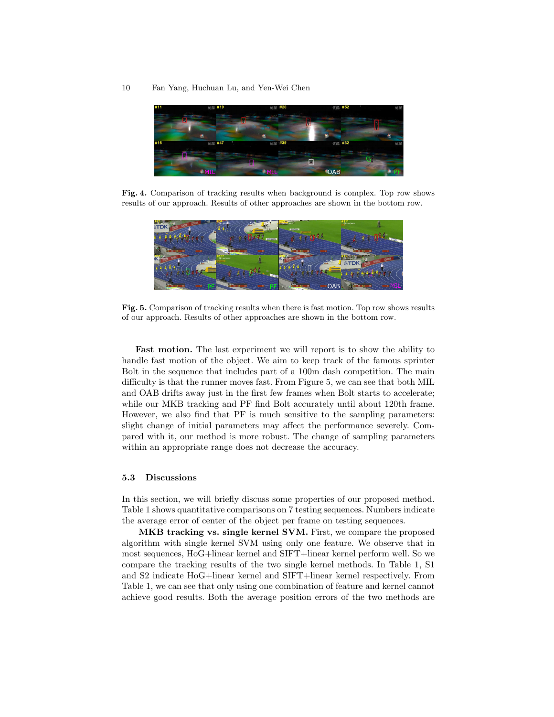10 Fan Yang, Huchuan Lu, and Yen-Wei Chen



Fig. 4. Comparison of tracking results when background is complex. Top row shows results of our approach. Results of other approaches are shown in the bottom row.



Fig. 5. Comparison of tracking results when there is fast motion. Top row shows results of our approach. Results of other approaches are shown in the bottom row.

Fast motion. The last experiment we will report is to show the ability to handle fast motion of the object. We aim to keep track of the famous sprinter Bolt in the sequence that includes part of a 100m dash competition. The main difficulty is that the runner moves fast. From Figure 5, we can see that both MIL and OAB drifts away just in the first few frames when Bolt starts to accelerate; while our MKB tracking and PF find Bolt accurately until about 120th frame. However, we also find that PF is much sensitive to the sampling parameters: slight change of initial parameters may affect the performance severely. Compared with it, our method is more robust. The change of sampling parameters within an appropriate range does not decrease the accuracy.

### 5.3 Discussions

In this section, we will briefly discuss some properties of our proposed method. Table 1 shows quantitative comparisons on 7 testing sequences. Numbers indicate the average error of center of the object per frame on testing sequences.

MKB tracking vs. single kernel SVM. First, we compare the proposed algorithm with single kernel SVM using only one feature. We observe that in most sequences, HoG+linear kernel and SIFT+linear kernel perform well. So we compare the tracking results of the two single kernel methods. In Table 1, S1 and S2 indicate HoG+linear kernel and SIFT+linear kernel respectively. From Table 1, we can see that only using one combination of feature and kernel cannot achieve good results. Both the average position errors of the two methods are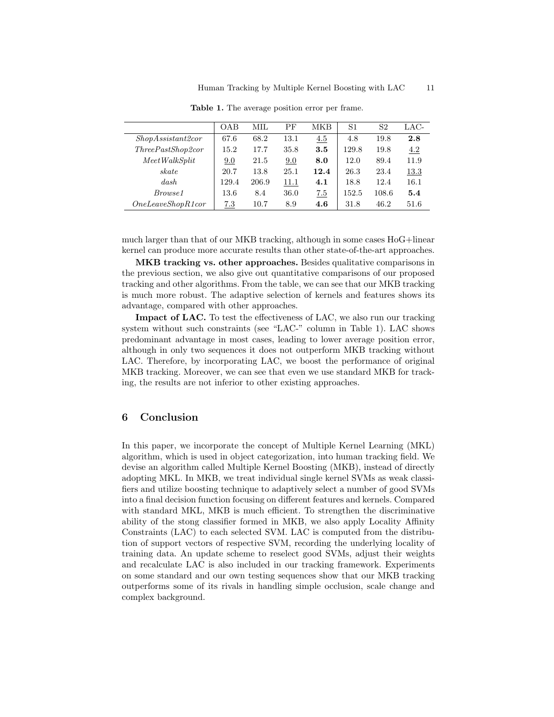|                             | OAB   | MH.   | РF   | MKB  | S1    | S2    | LAC- |
|-----------------------------|-------|-------|------|------|-------|-------|------|
| ShowA <i>s</i> is tant2 cor | 67.6  | 68.2  | 13.1 | 4.5  | 4.8   | 19.8  | 2.8  |
| Three PastShop2cor          | 15.2  | 17.7  | 35.8 | 3.5  | 129.8 | 19.8  | 4.2  |
| Meet WalkSplit              | 9.0   | 21.5  | 9.0  | 8.0  | 12.0  | 89.4  | 11.9 |
| skate                       | 20.7  | 13.8  | 25.1 | 12.4 | 26.3  | 23.4  | 13.3 |
| dash                        | 129.4 | 206.9 | 11.1 | 4.1  | 18.8  | 12.4  | 16.1 |
| <i>Browse1</i>              | 13.6  | 8.4   | 36.0 | 7.5  | 152.5 | 108.6 | 5.4  |
| OneLeaves hopR1cor          | 7.3   | 10.7  | 8.9  | 4.6  | 31.8  | 46.2  | 51.6 |

Table 1. The average position error per frame.

much larger than that of our MKB tracking, although in some cases HoG+linear kernel can produce more accurate results than other state-of-the-art approaches.

MKB tracking vs. other approaches. Besides qualitative comparisons in the previous section, we also give out quantitative comparisons of our proposed tracking and other algorithms. From the table, we can see that our MKB tracking is much more robust. The adaptive selection of kernels and features shows its advantage, compared with other approaches.

Impact of LAC. To test the effectiveness of LAC, we also run our tracking system without such constraints (see "LAC-" column in Table 1). LAC shows predominant advantage in most cases, leading to lower average position error, although in only two sequences it does not outperform MKB tracking without LAC. Therefore, by incorporating LAC, we boost the performance of original MKB tracking. Moreover, we can see that even we use standard MKB for tracking, the results are not inferior to other existing approaches.

# 6 Conclusion

In this paper, we incorporate the concept of Multiple Kernel Learning (MKL) algorithm, which is used in object categorization, into human tracking field. We devise an algorithm called Multiple Kernel Boosting (MKB), instead of directly adopting MKL. In MKB, we treat individual single kernel SVMs as weak classifiers and utilize boosting technique to adaptively select a number of good SVMs into a final decision function focusing on different features and kernels. Compared with standard MKL, MKB is much efficient. To strengthen the discriminative ability of the stong classifier formed in MKB, we also apply Locality Affinity Constraints (LAC) to each selected SVM. LAC is computed from the distribution of support vectors of respective SVM, recording the underlying locality of training data. An update scheme to reselect good SVMs, adjust their weights and recalculate LAC is also included in our tracking framework. Experiments on some standard and our own testing sequences show that our MKB tracking outperforms some of its rivals in handling simple occlusion, scale change and complex background.